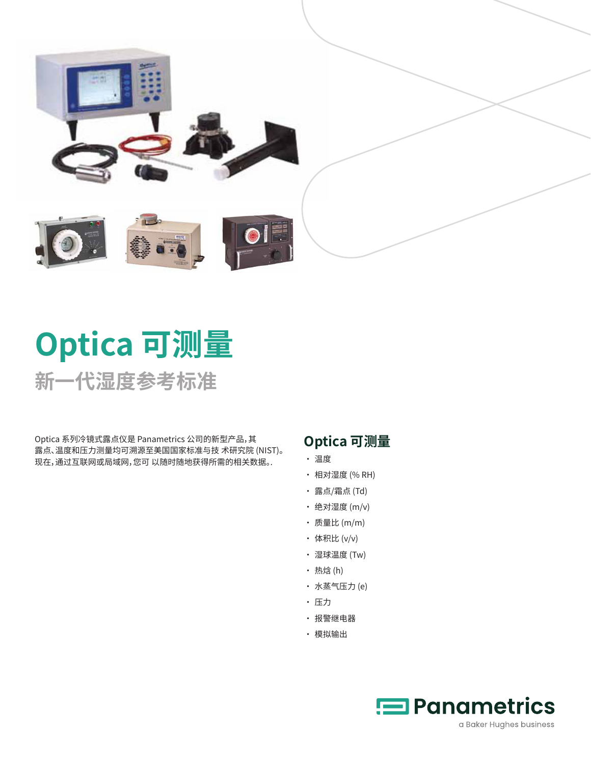

# **Optica 可测量 新一代湿度参考标准**

Optica 系列冷镜式露点仪是 Panametrics 公司的新型产品,其 露点、温度和压力测量均可溯源至美国国家标准与技 术研究院 (NIST)。 现在,通过互联网或局域网,您可 以随时随地获得所需的相关数据。.

# **Optica 可测量**

- 温度
- 相对湿度 (% RH)
- 露点/霜点 (Td)
- 绝对湿度 (m/v)
- 质量比 (m/m)
- 体积比 (v/v)
- 湿球温度 (Tw)
- 热焓 (h)
- 水蒸气压力 (e)
- 压力
- 报警继电器
- 模拟输出

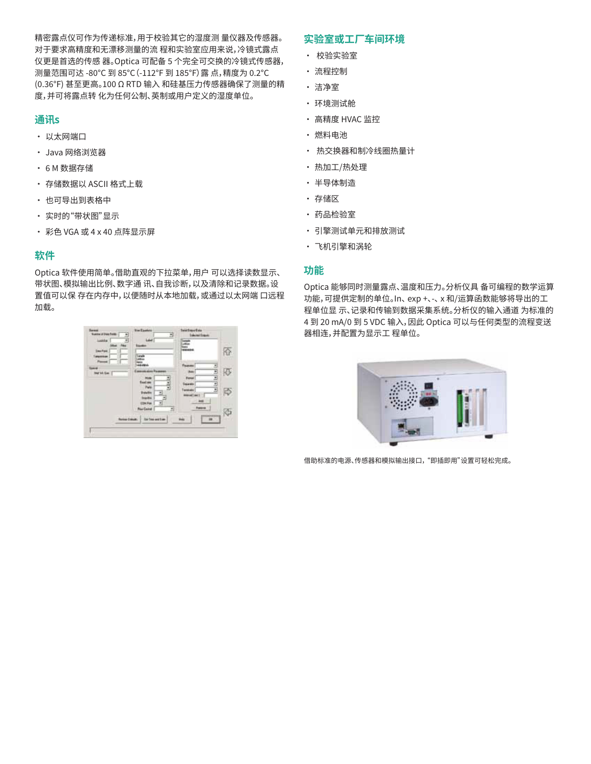精密露点仪可作为传递标准,用于校验其它的湿度测 量仪器及传感器。 对于要求高精度和无漂移测量的流 程和实验室应用来说,冷镜式露点 仪更是首选的传感 器。Optica 可配备 5 个完全可交换的冷镜式传感器, 测量范围可达 -80°C 到 85°C(-112°F 到 185°F)露 点,精度为 0.2°C (0.36°F) 甚至更高。100 Ω RTD 输入 和硅基压力传感器确保了测量的精 度,并可将露点转 化为任何公制、英制或用户定义的湿度单位。

## **通讯s**

- 以太网端口
- Java 网络浏览器
- 6 M 数据存储
- 存储数据以 ASCII 格式上载
- 也可导出到表格中
- 实时的"带状图"显示
- 彩色 VGA 或 4 x 40 点阵显示屏

## **软件**

Optica 软件使用简单。借助直观的下拉菜单,用户 可以选择读数显示、 带状图、模拟输出比例、数字通 讯、自我诊断,以及清除和记录数据。设 置值可以保 存在内存中,以便随时从本地加载,或通过以太网端 口远程 加载。

| <b>National Deadless Company</b><br>Liste  <br>€<br>Few<br>ш | Ð                                                                                                                       | <b>Edward Duquis</b>                                      |        |
|--------------------------------------------------------------|-------------------------------------------------------------------------------------------------------------------------|-----------------------------------------------------------|--------|
| <b>Sau Fuid</b><br>Tomperman<br><b>Mal felt Sam  </b>        | <b>Lingh</b><br>as Russ<br><b>Sad see</b><br>H<br>Page                                                                  | Ξ<br>Ë<br>٠<br><b><i><u><u>intention</u></u></i></b><br>٠ | R      |
|                                                              | <b>Traited Inc.</b><br><b>Ing Bhi</b><br><b>COMPUT</b><br><b>Rive Castral</b><br>쾌<br>Renkal Dakubi, 1 Dat Das wat then | Ξ<br>Tempelo<br>$190$ (941)<br><b>Fune</b><br>旗           | 慶<br>Ġ |

## **实验室或工厂车间环境**

- 校验实验室
- 流程控制
- 洁净室
- 环境测试舱
- 高精度 HVAC 监控
- 燃料电池
- 热交换器和制冷线圈热量计
- 热加工/热处理
- 半导体制造
- 存储区
- 药品检验室
- 引擎测试单元和排放测试
- 飞机引擎和涡轮

## **功能**

Optica 能够同时测量露点、温度和压力。分析仪具 备可编程的数学运算 功能,可提供定制的单位。In、 exp +、-、 x 和/运算函数能够将导出的工 程单位显 示、记录和传输到数据采集系统。分析仪的输入通道 为标准的 4 到 20 mA/0 到 5 VDC 输入,因此 Optica 可以与任何类型的流程变送 器相连,并配置为显示工 程单位。



借助标准的电源、传感器和模拟输出接口, "即插即用"设置可轻松完成。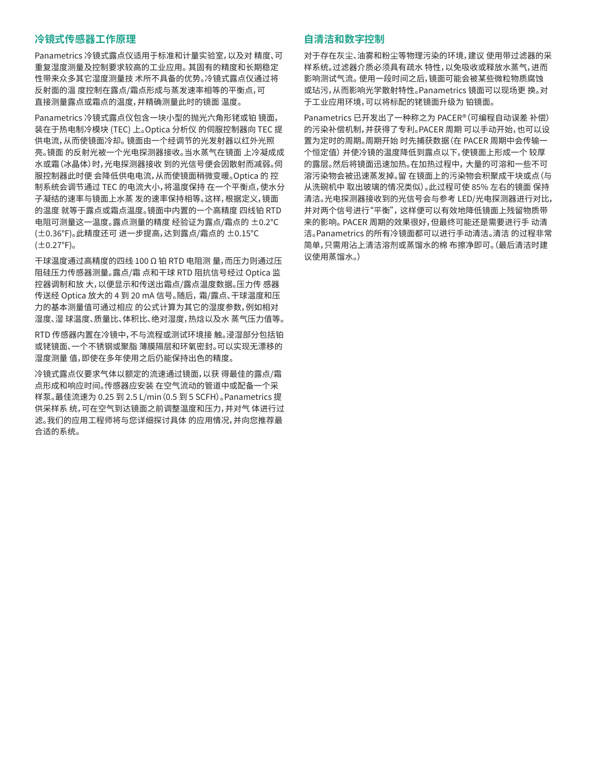## **冷镜式传感器工作原理**

Panametrics 冷镜式露点仪适用于标准和计量实验室,以及对 精度、可 重复湿度测量及控制要求较高的工业应用。 其固有的精度和长期稳定 性带来众多其它湿度测量技 术所不具备的优势。冷镜式露点仪通过将 反射面的温 度控制在露点/霜点形成与蒸发速率相等的平衡点,可 直接测量露点或霜点的温度,并精确测量此时的镜面 温度。

Panametrics 冷镜式露点仪包含一块小型的抛光六角形铑或铂 镜面, 装在于热电制冷模块 (TEC) 上。Optica 分析仪 的伺服控制器向 TEC 提 供电流,从而使镜面冷却。 镜面由一个经调节的光发射器以红外光照 亮。镜面 的反射光被一个光电探测器接收。当水蒸气在镜面 上冷凝成成 水或霜(冰晶体)时,光电探测器接收 到的光信号便会因散射而减弱。伺 服控制器此时便 会降低供电电流,从而使镜面稍微变暖。Optica 的 控 制系统会调节通过 TEC 的电流大小,将温度保持 在一个平衡点,使水分 子凝结的速率与镜面上水蒸 发的速率保持相等。这样,根据定义,镜面 的温度 就等于露点或霜点温度。镜面中内置的一个高精度 四线铂 RTD 电阻可测量这一温度。露点测量的精度 经验证为露点/霜点的 ±0.2°C (±0.36°F)。此精度还可 进一步提高,达到露点/霜点的 ±0.15°C  $(\pm 0.27$ °F)。

干球温度通过高精度的四线 100 Ω 铂 RTD 电阻测 量,而压力则通过压 阻硅压力传感器测量。露点/霜 点和干球 RTD 阻抗信号经过 Optica 监 控器调制和放 大,以便显示和传送出霜点/露点温度数据。压力传 感器 传送经 Optica 放大的 4 到 20 mA 信号。随后, 霜/露点、干球温度和压 力的基本测量值可通过相应 的公式计算为其它的湿度参数,例如相对 湿度、湿 球温度、质量比、体积比、绝对湿度,热焓以及水 蒸气压力值等。

RTD 传感器内置在冷镜中,不与流程或测试环境接 触。浸湿部分包括铂 或铑镜面、一个不锈钢或聚脂 薄膜隔层和环氧密封。可以实现无漂移的 湿度测量 值,即使在多年使用之后仍能保持出色的精度。

冷镜式露点仪要求气体以额定的流速通过镜面,以获 得最佳的露点/霜 点形成和响应时间。传感器应安装 在空气流动的管道中或配备一个采 样泵。最佳流速为 0.25 到 2.5 L/min(0.5 到 5 SCFH)。Panametrics 提 供采样系 统,可在空气到达镜面之前调整温度和压力,并对气 体进行过 滤。我们的应用工程师将与您详细探讨具体 的应用情况,并向您推荐最 合适的系统。

### **自清洁和数字控制**

对于存在灰尘、油雾和粉尘等物理污染的环境,建议 使用带过滤器的采 样系统。过滤器介质必须具有疏水 特性,以免吸收或释放水蒸气,进而 影响测试气流。 使用一段时间之后,镜面可能会被某些微粒物质腐蚀 或玷污,从而影响光学散射特性。Panametrics 镜面可以现场更 换。对 于工业应用环境,可以将标配的铑镜面升级为 铂镜面。

Panametrics 已开发出了一种称之为 PACER®(可编程自动误差 补偿) 的污染补偿机制,并获得了专利。PACER 周期 可以手动开始,也可以设 置为定时的周期。周期开始 时先捕获数据(在 PACER 周期中会传输一 个恒定值) 并使冷镜的温度降低到露点以下,使镜面上形成一个 较厚 的露层。然后将镜面迅速加热。在加热过程中, 大量的可溶和一些不可 溶污染物会被迅速蒸发掉。留 在镜面上的污染物会积聚成干块或点(与 从洗碗机中 取出玻璃的情况类似)。此过程可使 85% 左右的镜面 保持 清洁。光电探测器接收到的光信号会与参考 LED/光电探测器进行对比, 并对两个信号进行"平衡", 这样便可以有效地降低镜面上残留物质带 来的影响。 PACER 周期的效果很好,但最终可能还是需要进行手 动清 洁。Panametrics 的所有冷镜面都可以进行手动清洁。清洁 的过程非常 简单,只需用沾上清洁溶剂或蒸馏水的棉 布擦净即可。(最后清洁时建 议使用蒸馏水。)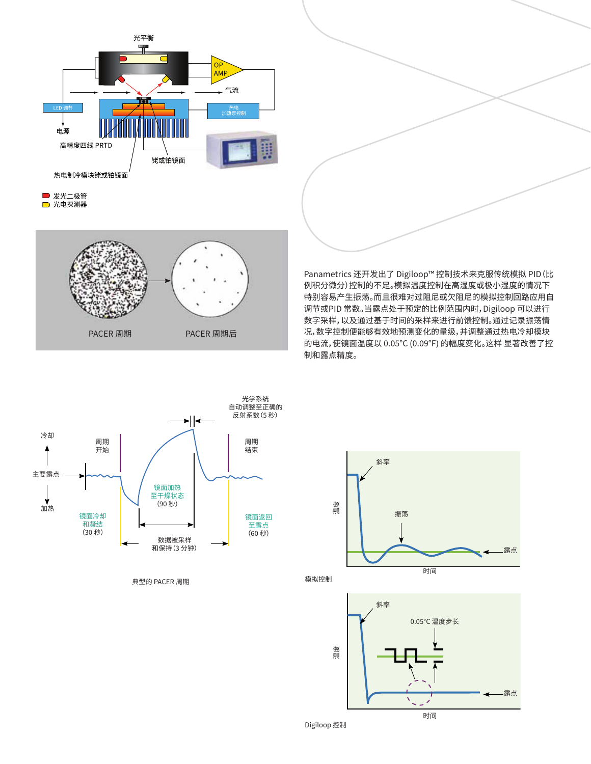

■ 光电探测器



Panametrics 还开发出了 Digiloop™ 控制技术来克服传统模拟 PID (比 例积分微分) 控制的不足。模拟温度控制在高湿度或极小湿度的情况下 特别容易产生振荡。而且很难对过阻尼或欠阻尼的模拟控制回路应用自 调节或PID 常数。当露点处于预定的比例范围内时,Digiloop 可以进行 数字采样,以及通过基于时间的采样来进行前馈控制。通过<mark>记录振荡情</mark> 况, 数字控制便能够有效地预测变化的量级<mark>,</mark> 并调整通过热电冷却模块 的电流, 使镜面温度以 0.05°C (0.09°F) 的幅度变化。这样 显著改善了控 samples when the dew point is within a predetermined proportional band. By recording the oscillations, the 制和露点精度。

GE developed Digiloop™ control to overcome the

GE developed Digiloop™ control to overcome the limitations of traditional analog PID (Proportional Integral and Derivative) control. Analog temperature control produces oscillations particularly at high or trace humidity levels. It is difficult to apply self-tuning or PID constants to analog control loops, which are over damped or under damped. Digiloop utilizes digital sampling and feed-forward control by taking time-based samples when the dew point is within a predetermined  $\mathcal{L}_{\mathcal{A}}$  $\overline{\phantom{a}}$ change and adjusts the current to the thermoelectric cooling module, which steps the mirror temperature in



典型的 PACER 周期



时间

Digiloop 控制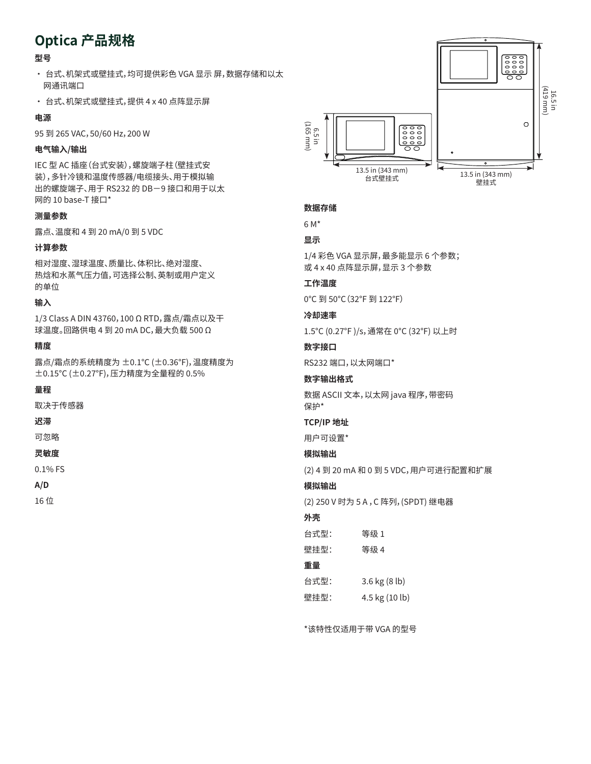# **Optica 产品规格**

## **型号**

- 台式、机架式或壁挂式,均可提供彩色 VGA 显示 屏,数据存储和以太 网通讯端口
- 台式、机架式或壁挂式,提供 4 x 40 点阵显示屏

## **电源**

95 到 265 VAC,50/60 Hz,200 W

## **电气输入/输出**

IEC 型 AC 插座(台式安装),螺旋端子柱(壁挂式安 装),多针冷镜和温度传感器/电缆接头、用于模拟输 出的螺旋端子、用于 RS232 的 DB-9 接口和用于以太 网的 10 base-T 接口\*

#### **测量参数**

露点、温度和 4 到 20 mA/0 到 5 VDC

#### **计算参数**

相对湿度、湿球温度、质量比、体积比、绝对湿度、 热焓和水蒸气压力值,可选择公制、英制或用户定义 的单位

## **输入**

1/3 Class A DIN 43760,100 Ω RTD,露点/霜点以及干 球温度。回路供电 4 到 20 mA DC,最大负载 500 Ω

#### **精度**

露点/霜点的系统精度为 ±0.1°C (±0.36°F),温度精度为 ±0.15°C (±0.27°F),压力精度为全量程的 0.5%

#### **量程**

取决于传感器

## **迟滞**

可忽略

### **灵敏度**

0.1% FS

#### **A/D**

16 位



#### **数据存储**

6 M\*

#### **显示**

1/4 彩色 VGA 显示屏,最多能显示 6 个参数; 或 4 x 40 点阵显示屏,显示 3 个参数

#### **工作温度**

0°C 到 50°C(32°F 到 122°F)

#### **冷却速率**

1.5°C (0.27°F )/s,通常在 0°C (32°F) 以上时

#### **数字接口**

RS232 端口,以太网端口\*

#### **数字输出格式**

数据 ASCII 文本,以太网 java 程序,带密码 保护\*

#### **TCP/IP 地址**

用户可设置\*

## **模拟输出**

(2) 4 到 20 mA 和 0 到 5 VDC,用户可进行配置和扩展

#### **模拟输出**

(2) 250 V 时为 5 A ,C 阵列,(SPDT) 继电器

## **外壳**

台式型: 等级 1

壁挂型: 等级 4

## **重量**

台式型: 3.6 kg (8 lb) 壁挂型: 4.5 kg (10 lb)

\*该特性仅适用于带 VGA 的型号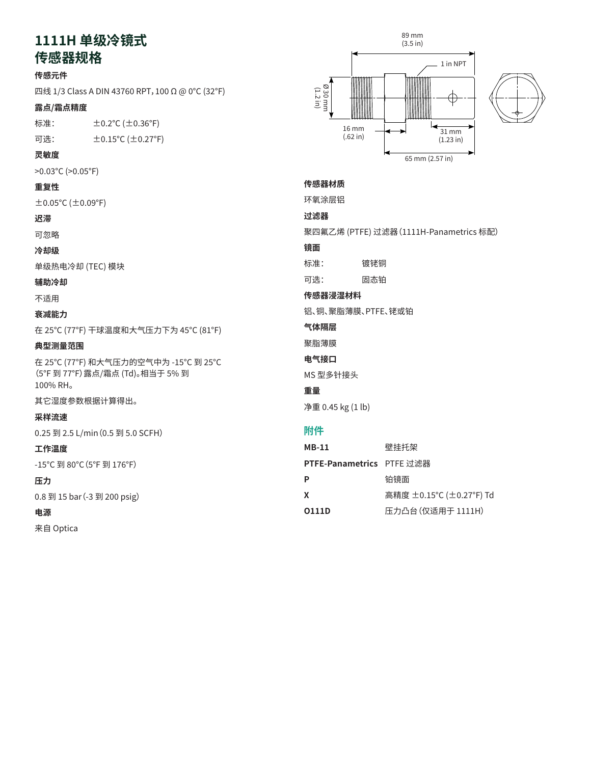# 1111H 单级冷镜式<br>生式<u>职</u>提供

## **传感器规格** aansa Specifications of the control of the control of the control of the control of the control of the control<br>።

## **传感元件**

Щ线 1/3 Class A DIN 43760 RPT, 100 Ω @ 0°C (32°F)

#### **露点/霜点精度**  $\epsilon$ 点精度 Din 43760 RPT, 100 W @ 32760 RPT, 100 W @ 32760 RPT, 100 W @ 32760 RPT, 100 W @ 32760 RPT, 100 W @ 32760 RPT

标准: ±0.2°C (±0.36°F)

可选:  $\pm$  0.15°C ( $\pm$  0.27°F)

## **灵敏度**

>0.03°C (>0.05°F)

## **重复性**

 $\pm$ 0.05°C ( $\pm$ 0.09°F)

## **迟滞**

可忽略

## **冷却级**

单级热电冷却 (TEC) 模块 **Hysteresis** Negligible

## **辅助冷却**

不适用

#### **衰减能力**  $\mathbf{S}$  stage thermoelectric cooling (TEC) module  $\mathbf{S}$

在 25°C (77°F) 干球温度和大气压力下为 45°C (81°F)

# **典型测量范围 Auxiliary Cooling**

在 25°C (77°F) 和大气压力的空气中为 -15°C 到 25°C (5°F 到 77°F)露点/霜点 (Td)。相当于 5% 到 **Depression** 100% RH。  $\overline{\phantom{a}}$  $810$ F (35°C) dry bulb and at  $775$ 

其它湿度参数根据计算得出。

## **采样流速**

0.25 到 2.5 L/min(0.5 到 5.0 SCFH) **Typical Measurement Range** 5°F to 77°F (-15°C to 25°C) dew/frost point (Td) in air @

#### **工作温度**  $\mathbf{z}^{\mathbf{z}}$

-15°C 到 80°C (5°F 到 176°F)

## **压力**

0.8 到 15 bar (-3 到 200 psig*)*<br>. .\_

## **电源**

来自 Optica





# **Sensor Body 传感器材质**

环氧涂层铝

## **过滤器**

**元気ア** 聚四氟乙烯 (PTFE) 过滤器 (1111H-Panametrics 标配)<br>..

## 镜面<br>-

标准: 镀铑铜

**可选:** Standard: Rhodium-plated copper 固态铂

## 传感器浸湿材料<br>·

铝、铜、聚脂薄膜、PTFE、铑或铂

## **Sensor Wetted Material 气体隔层**

 $\mathbb{R}$ 蒲瞄, platinum or platinum or platinum or platinum or platinum or platinum or platinum or platinum or platinum or platinum or platinum or platinum or platinum or platinum or platinum or platinum or platinum or plat 聚脂薄膜

#### **Vapor**<br>Professional **电气接口**

MS 型多针接头

## **重量**

**Electrical Connector** 净重 0.45 kg (1 lb)

| <b>MB-11</b>                     | 壁挂托架                      |
|----------------------------------|---------------------------|
| <b>PTFE-Panametrics</b> PTFE 过滤器 |                           |
| P                                | 铂镜面                       |
| X                                | 高精度 ±0.15 ℃ (±0.27 °F) Td |
| 0111D                            | 压力凸台(仅适用于 1111H)          |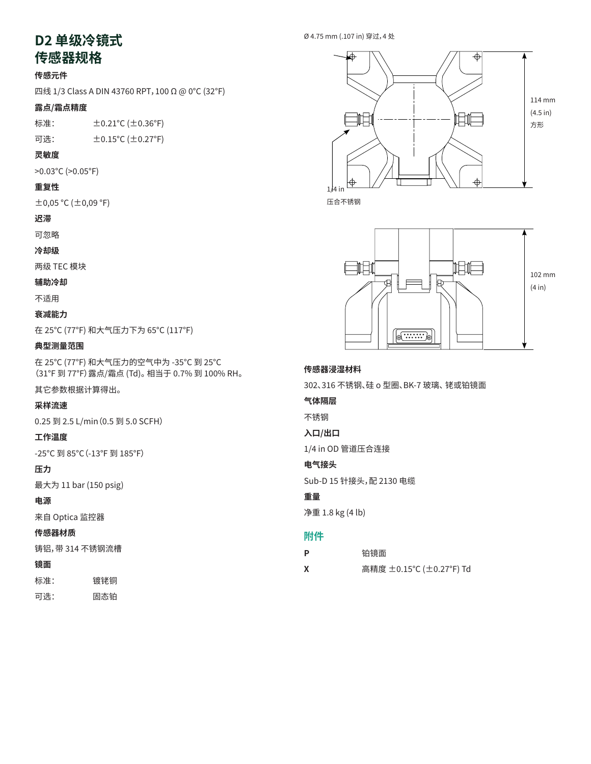# **D2 单级冷镜式** www.com.com<br>以机格

# **传感器规格**

## **传感元件**

四线 1/3 Class A DIN 43760 RPT,100 Ω @ 0°C (32°F)

## 露点/霜点精度

标准: ±0.21°C (±0.36°F) Four-wire 1/3 Class A DIN 43760 RPT, 100 W @ 32°F (0°C)

## 可选: ±0.15°C (±0.27°F) **Dew/Frost Point Accuracy**

## **灵敏度**

 $>0.03^{\circ}$ C ( $>0.05^{\circ}$ F)

## **重复性**

 $\pm$ 0,05 °C ( $\pm$ 0,09 °F)  $(\pm 0.09\degree$ F)

## **迟滞**

可忽略

## **冷却级**

两级 TEC 模块 **Hysteresis**

## **辅助冷却**

不适用

## **衰减能力**

在 25°C (77°F) 和大气压力下为 65°C (117°F) Two-stage TEC module

#### **典型测量范围 Auxiliary Cooling**

在 25℃ (77°F) 和大气压力的空气中为 -35<mark>℃ 到 25</mark>℃ (31°F 到 77°F)露点/霜点 (Td)。 相当于 0.7% 到 100% RH。

## 其它参数根据计算得出<mark>。</mark>

## **采样流速**

0.25 到 2.5 L/min(0.5 到 5.0 SCFH) **Typical Measurement Range**

## **工作温度**

-25°C 到 85°C(-13°F 到 185°F) 77°F (25°C) and atmospheric pressure. Equivalent to 0.7%

## **压力**

最大为 11 bar (150 psig)

## **电源**

来自 Optica 监控器

## **传感器材质**

铸铝, 带 314 不锈钢流槽 **Operating Temperature**

## **镜面**

标准: 镀铑铜 **Pressure**

可选: 固态铂  $\overline{1}$ 





压合不锈钢



#### Sensor Wetterland Material Material Material Material Material Material Material Material Material Material Ma<br>The Sensor Material Material Material Material Material Material Material Material Material Material Material<br> **传感器浸湿材料**

302、316 不锈钢、硅 o 型圈、BK-7 玻璃、 铑或铂镜面

## 气体隔层<br>一

不锈钢

**Vapor Barrier** 入口/出口<br>1

1/4 in OD 管道压合连接

## **Inlet/Outlet 电气接头**

Sub-D 15 针接头,配 2130 电缆

## **重量**

净重 1.8 kg (4 lb)

- **Weight P** 铂镜面
- **X** 高精度 ±0.15°C (±0.27°F) Td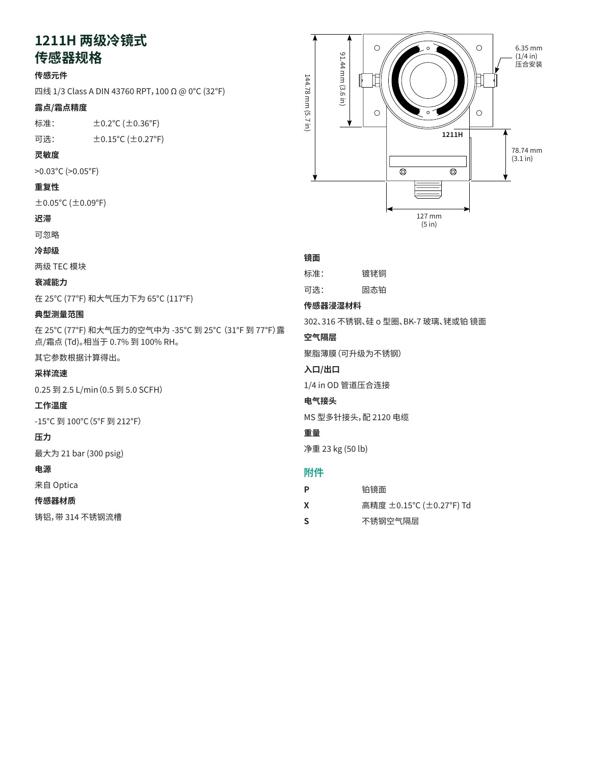# **1211H 两级冷镜式 传感器规格** Mirror Specifications 111  $\pm 2\pi$  \  $\lambda$   $\leftrightarrow$   $\pm$

## **传感元件**

四线 1/3 Class A DIN 43760 RPT,100 Ω @ 0°C (32°F) **Sensing Element** /3 Class A DIN 43760 RPT, 100  $\Omega$  @ 0°C (32°F)

## **露点/霜点精度**

标准:  $\pm$  0.2°C ( $\pm$  0.36°F)

可选: ±0.15°C (±0.27°F)  $\pm$  0.15 C ( $\pm$  0.27 F)

## **灵敏度**

>0.03°C (>0.05°F) **Sensitivity**

#### **重复性** >0.05°F (>0.03°C)

±0.05°C (±0.09°F) **Repeatability**

## **迟滞**

可忽略

**冷却级 Hysteresis**

两级 TEC 模块

#### **衰减能力 Cooling Stages**

在 25℃ (77°F) 和大气压力下为 65℃ (117°F)

## **典型测量范围**

在 25°C (77°F) 和大气压力的空气中为 -35°C 到 25°C (31°F 到 77°F)露 **Depression** 点/霜点 (Td)。相当于 0.7% 到 100% RH。 117°F (65°C) at 77°F (25°C) and atmospheric pressure

其它参数根据计算得出。 **Typical Measurement Range**

#### **采样流速**  $\overline{3}$  to  $\overline{3}$  to  $\overline{3}$  to  $\overline{3}$  to  $\overline{3}$  to 25°C to 25°C to 25°C to 25°C to 25°C to 25°C to 25°C to 25°C to 25°C to 25°C to 25°C to 25°C to 25°C to 25°C to 25°C to 25°C to 25°C to 25°C to 25°C to 25°C to 2

0.25 到 2.5 L/min (0.5 到 5.0 SCFH)

#### 工作温度 *Other parameters based on calculations.*

-15°C 到 100°C(5°F 到 212°F)

## **压力**

最大为 21 bar (300 psig)

## **电源**

来目 Optica **Operating Temperature**

## **传感器材质**

铸铝,带 314 不锈钢流槽 **Pressure**



## 镜面

| 死血                 |                                   |  |
|--------------------|-----------------------------------|--|
| 标准:                | 镀铑铜                               |  |
| 可选:                | 固态铂                               |  |
| 传感器浸湿材料            |                                   |  |
|                    | 302、316 不锈钢、硅 o 型圈、BK-7 玻璃、铑或铂 镜面 |  |
| 空气隔层               |                                   |  |
| 聚脂薄膜(可升级为不锈钢)      |                                   |  |
| 入口/出口              |                                   |  |
| 1/4 in OD 管道压合连接   |                                   |  |
| 电气接头               |                                   |  |
| MS 型多针接头,配 2120 电缆 |                                   |  |
| 重量                 |                                   |  |
| 净重 23 kg (50 lb)   |                                   |  |
| 附件                 |                                   |  |

| . |                         |
|---|-------------------------|
| P | 铂镜面                     |
| X | 高精度 ±0.15℃ (±0.27°F) Td |

**Accessories S** 不锈钢空气隔层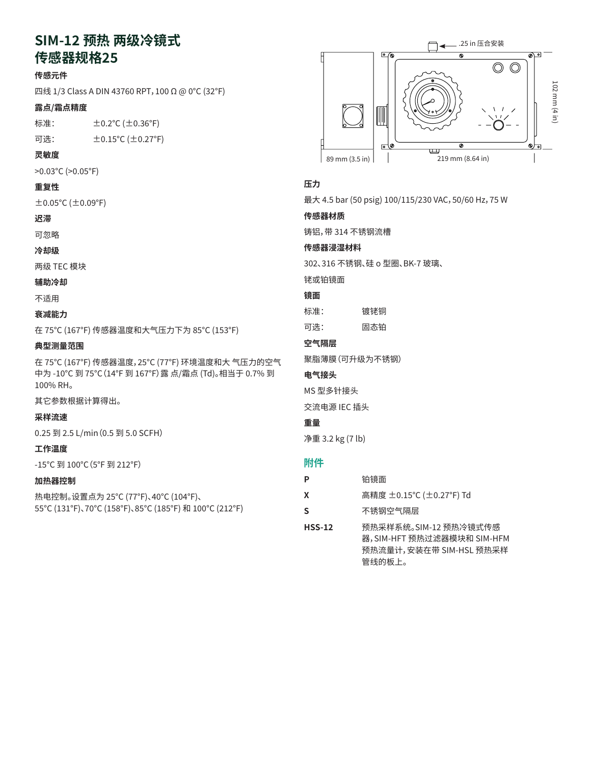# **SIM-12 预热 两级冷镜式 传感器规格25**

## **传感元件**

四线 1/3 Class A DIN 43760 RPT,100 Ω @ 0°C (32°F)

#### **露点/霜点精度**

标准: ±0.2°C (±0.36°F)

可选: ±0.15°C (±0.27°F)

#### **灵敏度**

>0.03°C (>0.05°F)

## **重复性**

 $\pm$ 0.05°C ( $\pm$ 0.09°F)

## **迟滞**

可忽略

**冷却级**

两级 TEC 模块

### **辅助冷却**

不适用

## **衰减能力**

在 75°C (167°F) 传感器温度和大气压力下为 85°C (153°F)

#### **典型测量范围**

在 75°C (167°F) 传感器温度,25°C (77°F) 环境温度和大 气压力的空气 中为 -10°C 到 75°C(14°F 到 167°F)露 点/霜点 (Td)。相当于 0.7% 到 100% RH。

其它参数根据计算得出。

#### **采样流速**

0.25 到 2.5 L/min(0.5 到 5.0 SCFH)

#### **工作温度**

-15°C 到 100°C(5°F 到 212°F)

#### **加热器控制**

热电控制。设置点为 25°C (77°F)、40°C (104°F)、 55°C (131°F)、70°C (158°F)、85°C (185°F) 和 100°C (212°F)



#### **压力**

最大 4.5 bar (50 psig) 100/115/230 VAC,50/60 Hz,75 W

#### **传感器材质**

铸铝,带 314 不锈钢流槽

### **传感器浸湿材料**

302、316 不锈钢、硅 o 型圈、BK-7 玻璃、

铑或铂镜面

#### **镜面**

标准: 镀铑铜

可选: 固态铂

#### **空气隔层**

聚脂薄膜(可升级为不锈钢)

## **电气接头**

MS 型多针接头

交流电源 IEC 插头

## **重量**

净重 3.2 kg (7 lb)

| р        | 铂镜面                                                                                      |
|----------|------------------------------------------------------------------------------------------|
| x        | 高精度 ±0.15℃ (±0.27°F) Td                                                                  |
| S        | 不锈钢空气隔层                                                                                  |
| $HSS-12$ | 预热采样系统。SIM-12 预热冷镜式传感<br>器,SIM-HFT 预热过滤器模块和 SIM-HFM<br>预热流量计,安装在带 SIM-HSL 预热采样<br>管线的板上。 |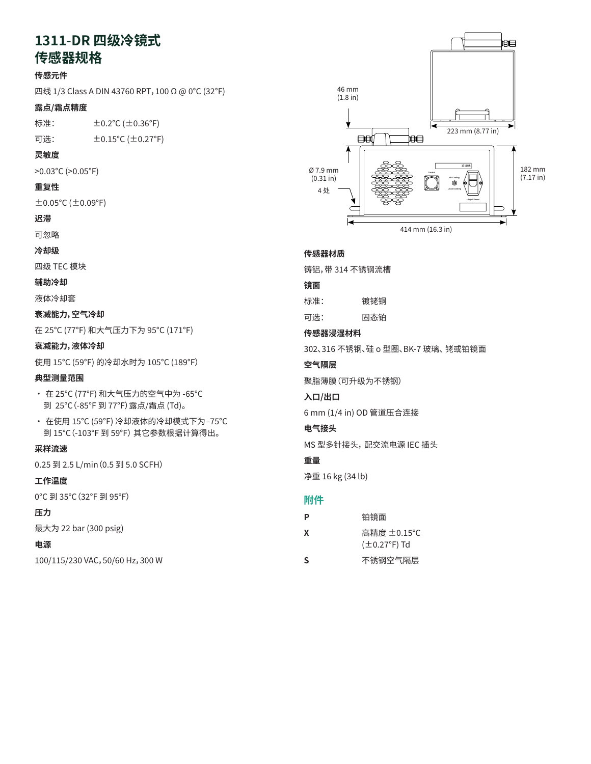# 1311-DR 四级冷镜式 传感器**规**格<br>"

## **传感元件**

四线 1/3 Class A DIN 43760 RPT, 100 Ω @ 0°C (32°F)

#### **露点/霜点精度**  $\dot{z}$ 結度

标准: ±0.2°C (±0.36°F)

可选: ±0.15°C (±0.27°F) **Dew/Frost Point Accuracy**  $\pm$ 0.15 C ( $\pm$ 0.27 F)

## **灵敏度**

>0.03°C (>0.05°F)

## **重复性**

±0.05°C (±0.09°F)

## **迟滞**

可忽略

## **冷却级**

四级 TEC 模块 **Hysteresis** C 快外

## **辅助冷却**

液体冷却套 **Cooling Stages**

## 衰减能力,空气冷却

在 25°C (77°F) 和大气压力下为 95°C (171°F)<br><del>Australia</del>

## 衰减能力,液体冷却

使用 15°C (59°F) 的冷却水时为 105°C (189°F)

## 典型测量范围

- 在 25℃ (77°F) 和大气压力的空气中为 -65℃ 到 25°C(-85°F 到 77°F)露点/霜点 (Td)。
- 在使用 15°C (59°F) 冷却液体的冷却模式下为 -75°C **Depression, Liquid Cooled** 到 15°C(-103°F 到 59°F) 其它参数根据计算得出。 189°F (105°C) with 59°F (15°C) cooling water

#### **采样流速 Typical Measurement Range**

0.25 到 2.5 L/min (0.5 到 5.0 SCFH)

## **工作温度**

0°C 到 35°C (32°F 到 95°F) • -103°F to 59°F (-75°C to 15°C) in liquid-cooled mode

## **压力**

最大为 22 bar (300 psig)

## **电源**

100/115/230 VAC,50/60 Hz,300 W



## **Sensor Body 传感器材质**

 $\overline{a}$  aluminum with  $\overline{a}$  statistical flow cells steel flow cells steel flow cells steel flow cells steel flow cells steel flow cells steel flow cells steel flow cells steel flow cells steel flow cells steel flow ce 铸铝,带 314 不锈钢流槽

## 镜面<br>———————————————————

| 标准: | 镀铑铜 |
|-----|-----|
| 可选: | 固态铂 |

#### **Sensor Weiters Western Material**<br>Sensor Western Material **传感器浸湿材料**

302、316 不锈钢、硅 o 型圈、BK-7 坡璃、 铑或铂镜面

## 空气隔层 **空气**

聚脂薄膜(可升级为不锈钢)

### ———————————<br>入口/出口  $\mathbf{u}$ / $\mathbf{u}$   $\mathbf{u}$

6 mm (1/4 in) OD 管道压合连接

## 电气接头

MS 型多针接头,配交流电源 IEC 插头

## **重量**

**Electrical Connector** 净重 16 kg (34 lb)

| Ρ | 铂镜面                                     |
|---|-----------------------------------------|
| x | 高精度 ±0.15 ℃<br>$(\pm 0.27^{\circ}F)$ Td |
| S | 不锈钢空气隔层                                 |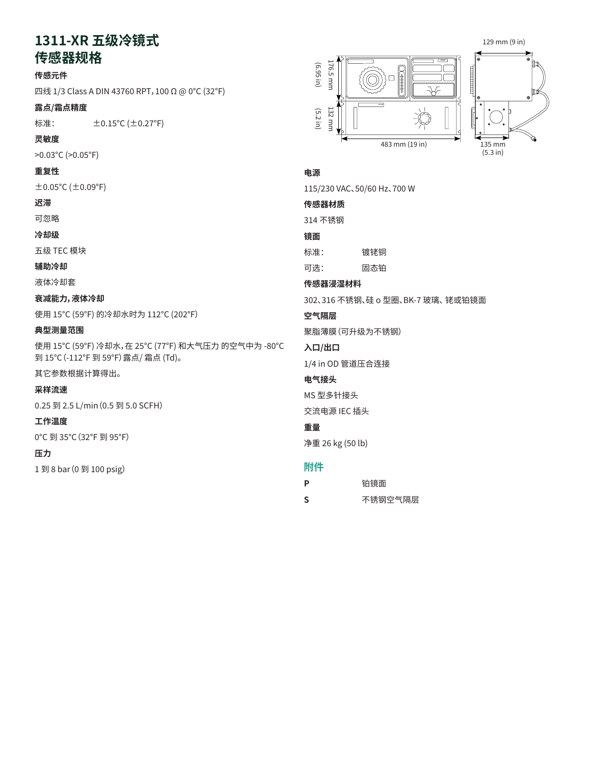# 1311-XR 五级冷镜式

## **传感器规格** 器规格 $\blacksquare$

## **传感元件**

四线 1/3 Class A DIN 43760 RPT, 100 Ω @ 0°C (32°F)

#### **露点/霜点精度**  $\frac{1}{2}$ 点精度

标准: ±0.15°C (±0.27°F)

## **灵敏度**

>0.03°C (>0.05°F)

## **重复性**

 $\pm$ 0.05°C ( $\pm$ 0.09°F)

## **迟滞**

可忽略

## **冷却级**

五级 TEC 模块

#### **辅助冷却** negligible in the second second in the second second second in the second second second second second second second second second second second second second second second second second second second second second second s

液体冷却套 r<br>大<br>Top Stages

## 衰减能力**, 液体冷却**

使用 15°C (59°F) 的冷却水时为 112°C (202°F)

## **典型测量范围 Auxiliary Cooling**

使用 15°C (59°F) 冷却水,在 25°C (77°F) 和大气压力 的空气中为 -80°C 到 15°C(-112°F 到 59°F)露点/ 霜点 (Td)。 li<del>guid c</del>oncernation and a cooling jacket and a cooling jacket and a cooling jacket and a cooling jacket and a<br>Ligurante cooling jacket and a cooling jacket and a cooling jacket and a cooling jacket and a cooling jacket a **Department Cooled** 

其它参数根据计算得出。 202°F (112°C) with 59°F (15°C) cooling water

## **采样流速**

0.25 到 2.5 L/min(0.5 到 5.0 SCFH) **Typical Measurement Range**

#### **工作温度** -112°F to 59°F (-80°C to 15°C) dew/frost point (Td) in air

0°C 到 35°C (32°F 到 95°F)  $\mathcal{L}$ 

## **压力**

1 到 8 bar(0 到 100 psig) **Sample Flow**





## **Power 电源**

115/230 VAC、50/60 Hz、700 W

**Sensor Body 传感器材质**

## 314 不锈钢

**镜面**

- 标准:  $\mathbb{R}$  standard:  $\mathbb{R}$  and  $\mathbb{R}$  and  $\mathbb{R}$  and  $\mathbb{R}$  and  $\mathbb{R}$  and  $\mathbb{R}$  and  $\mathbb{R}$  and  $\mathbb{R}$  and  $\mathbb{R}$  and  $\mathbb{R}$  and  $\mathbb{R}$  and  $\mathbb{R}$  and  $\mathbb{R}$  and  $\mathbb{R}$  and  $\mathbb{R}$  and  $\mathbb{R}$ 镀铑铜
- $\mathcal{L}$ : 回心扣 可选: 固态铂

## **传感器浸湿材料**

**Sensor Wetted Material** 302、316 不锈钢、硅 o 型圈、BK-7 玻璃、 铑或铂镜面

#### $\overline{a}$  and  $\overline{b}$  steel, since of  $\overline{b}$ **空气隔层**

rhodium or platinum mirror platinum mirror platinum mirror platinum mirror platinum mirror platinum mirror pla<br>Die platinum mirror platinum mirror platinum mirror platinum mirror platinum mirror platinum mirror platinum m 聚脂薄膜(可升级为不锈钢)

## 入口/出口

1/4 in OD 管道压合连接

#### **电气接头**

MS 型多针接头

 $\frac{1}{2}$  in  $\frac{1}{2}$  in  $\frac{1}{2}$  in  $\frac{1}{2}$  in  $\frac{1}{2}$  in  $\frac{1}{2}$  in  $\frac{1}{2}$  in  $\frac{1}{2}$  in  $\frac{1}{2}$  in  $\frac{1}{2}$  in  $\frac{1}{2}$  in  $\frac{1}{2}$  in  $\frac{1}{2}$  in  $\frac{1}{2}$  in  $\frac{1}{2}$  in  $\frac{1}{2}$  in  $\frac{1}{2}$  in

交流电源 IEC 插头

#### **Electrical Connector 重量**

净重 26 kg (50 lb)  $\mathcal{L}$  receptacle for  $\mathcal{L}$ 

| P | 铂镜面     |
|---|---------|
| S | 不锈钢空气隔层 |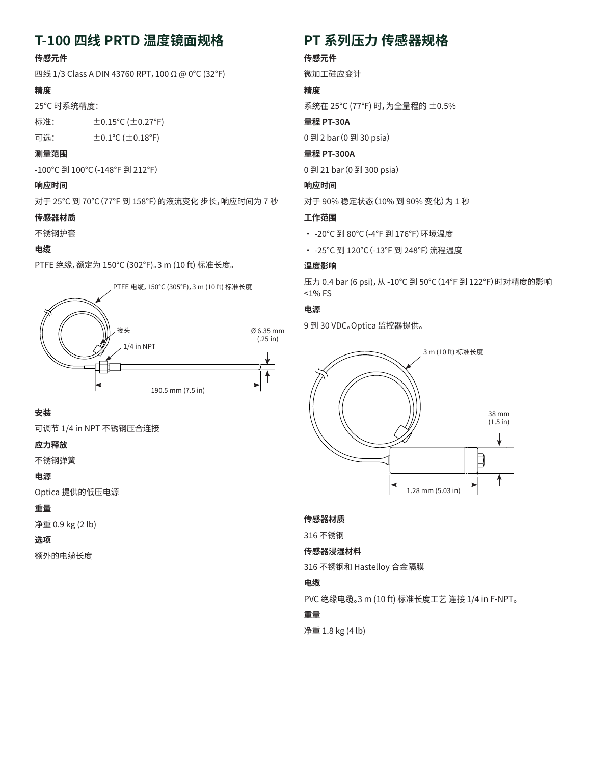# **T-100 四线 PRTD 温度镜面规格**

## **传感元件**

四线 1/3 Class A DIN 43760 RPT,100 Ω @ 0°C (32°F)

## **精度**

25°C 时系统精度:

标准: ±0.15°C (±0.27°F) 可选: ±0.1°C (±0.18°F)

## **测量范围**

-100°C 到 100°C(-148°F 到 212°F)

## **响应时间**

对于 25℃ 到 70℃ (77°F 到 158°F) 的液流变化 步长,响应时间为 7 秒

## **传感器材质**

不锈钢护套

## **电缆**

PTFE 绝缘,额定为 150°C (302°F)。3 m (10 ft) 标准长度。



## **安装**

可调节 1/4 in NPT 不锈钢压合连接

## **应力释放**

不锈钢弹簧

## **电源**

Optica 提供的低压电源

## **重量**

净重 0.9 kg (2 lb)

## **选项**

额外的电缆长度

# **PT 系列压力 传感器规格**

## **传感元件**

微加工硅应变计

## **精度**

系统在 25°C (77°F) 时,为全量程的 ±0.5%

## **量程 PT-30A**

0 到 2 bar(0 到 30 psia)

## **量程 PT-300A**

0 到 21 bar(0 到 300 psia)

## **响应时间**

对于 90% 稳定状态(10% 到 90% 变化)为 1 秒

## **工作范围**

- -20°C 到 80°C(-4°F 到 176°F)环境温度
- - 25℃ 到 120℃ (-13°F 到 248°F) 流程温度

## **温度影响**

压力 0.4 bar (6 psi),从 -10°C 到 50°C(14°F 到 122°F)时对精度的影响 <1% FS

## **电源**

9 到 30 VDC。Optica 监控器提供。



## **传感器材质**

316 不锈钢

## **传感器浸湿材料**

316 不锈钢和 Hastelloy 合金隔膜

## **电缆**

PVC 绝缘电缆。3 m (10 ft) 标准长度工艺 连接 1/4 in F-NPT。

## **重量**

净重 1.8 kg (4 lb)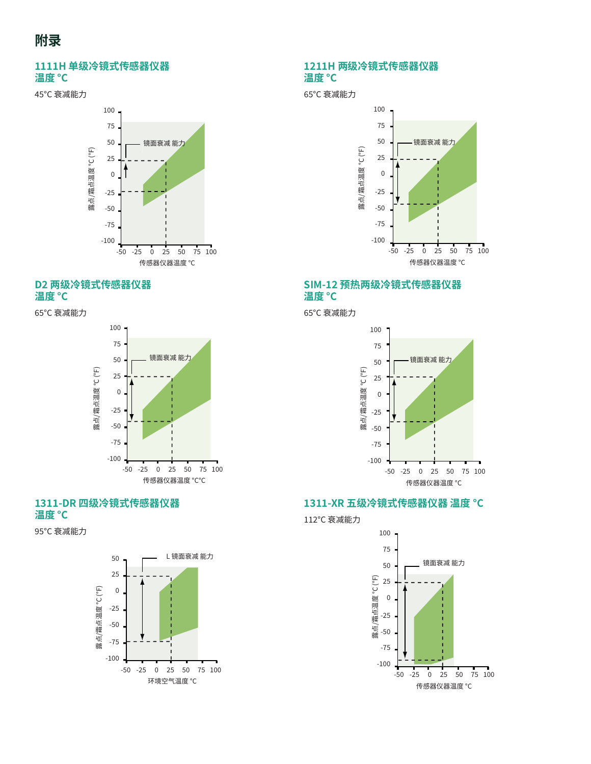#### 1111H **单级冷镜式传感器仪器**<br>温度 °C ————————————————————<br>温度 °C 11H 单级冷镜式传感器仪器<br>**6** °C Depression

45°C 衰减能力 **1111** 



#### D2 两级冷镜式传感器仪器<br>温度 °C **温度 °C D2 Two-Stage Chilled Mirror Sensor**  l 两级冷镜式传感器仪器<br>度 °C

65°C 衰减能力



#### **1311-DR Four-Stage Chilled Mirror 1311-DR Four-Stage Chilled Mirror 1311-DR 四级冷镜式传感器仪器 1311-DR Four-Stage Chilled Mirror 1311-DR Four-Stage Chilled Mirror Sensor Body Temperature °C 温度 °C Sensor Body Temperature °C Sensor Body Temperature °C**

95°C 衰减能力



#### 65°C depression 1211H **两级冷镜式传感器仪器**<br><sup>洹</sup>庶 °C **温度 °C Body Temperature °C**

65℃ 衰减能力



# SIM-12 预热两级冷镜式传感器仪器 温度 °C



# ${\bf 1311\text{-}XR\text{-}L}$ 级冷镜式传感器仪器 温度  $\degree{\bf C}$

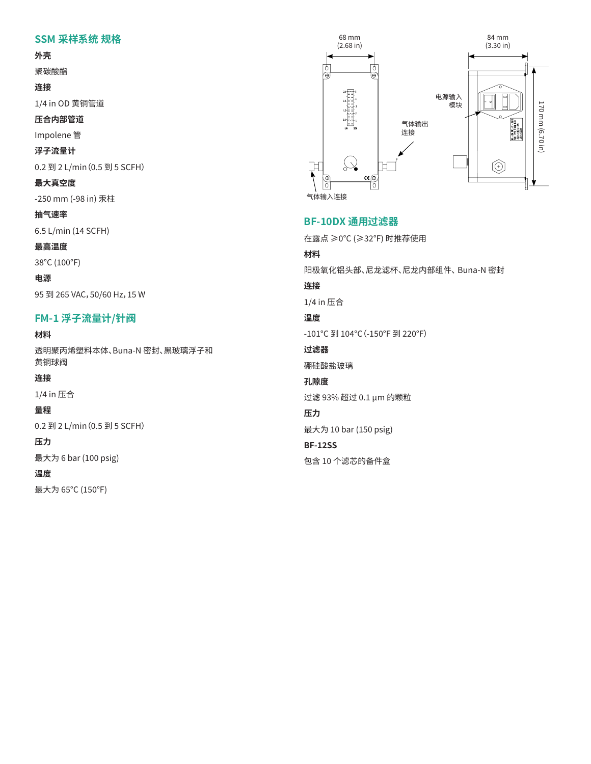# **SSM 采样系统 规格** Accessories

## **外壳**

聚碳酸酯 **SSM Sampling System Specifications**

**连接**

1/4 in OD 黄铜管道 **Enclosure**

压合内部管道

Impolene 管

**浮子流量计 Fittings**  $\mathbf{B}$ 

0.2 到 2 L/min(0.5 到 5 SCFH)

**最大真空度 Company** 

-250 mm (-98 in) 汞<mark>柱</mark>

**抽气速率**

6.5 L/min (14 SCFH) **Rotameter**  $0.011(143CFT)$ 

**最高温度**

38°C (100°F) **Maximum Vacuum**

**电源** 95 到 265 VAC,50/60 Hz,15 W **Free Air Displacement**

# -<br>FM-1 浮子流量计/针阀

**材料**

透明聚丙烯塑料本体、Buna-N 密封、黑玻璃浮子和 黄铜球阀 <mark>8丙烯塑料本</mark>体

**连接**

1/4 in 压合  $\mathbb{R}$   $\triangle$ 

**量程**

0.2 到 2 L/min (0.5 到 5 SCFH)

**压力**

最大为 6 bar (100 psig)  $J6$  bar (100 psig)

#### **温度**

最大为 65°C (150°F) **Fittings**



## **BF-10DX 通用过滤器**

**BF-10DX General Purpose Filter** 在露点 ≥0°C (≥32°F) 时推荐使用

## **材料**

Recommended for dew points ≥32°F (≥0°C) 阳极氧化铝头部、尼龙滤杯、尼龙内部组件、 Buna-N 密封

**Materials 连接**

 $1/4$  in 压合

# Buna-N Seals **温度**

**Fittings** -101°C 到 104°C(-150°F 到 220°F)

**过滤器** 

硼硅酸盐玻璃

# **Temperature 孔隙度**

-150°F (-101°F (-101°F (-101°F (-101°F (-101°F (-101°F (-101°F (-101°F (-101°F (-101°F (-101°F (-101°F (-101°F<br>Johann Louis (-101°F (-101°F (-101°F (-101°F (-101°F (-101°F (-101°F (-101°F (-101°F (-101°F (-101°F (-101°F ( 过滤 93% 超过 0.1 μm 的颗粒

## **Filter 压力**

最大为 10 bar (150 psig)

## **BF-12SS**

**Porosity** 包含 10 个滤芯的备件盒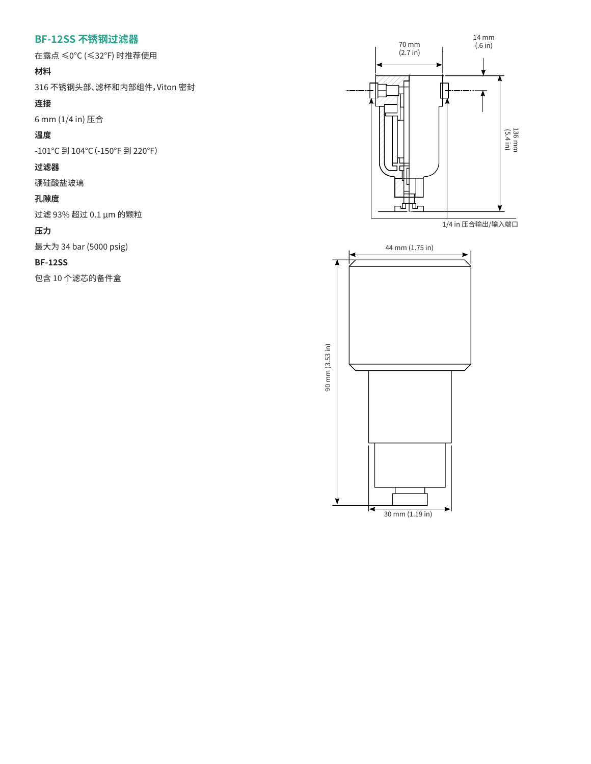# **BF-12SS 不锈钢过滤器**<br>- ———————————————————

在露点 ≤0°C (≤32°F) 时推荐使用

## **材料**

316 不锈钢头部、滤杯和内部组件,Viton 密封

## **连接**

6 mm (1/4 in) 压合 316 stainless steel head, bowl and internals. Viton seals

## **温度**

-101°C 到 104°C (-150°F 到 220°F)

## **过滤器**

硼硅酸盐玻璃  $150F$  to  $100F$  and  $100F$ 

## **孔隙度**

过滤 93% 超过 0.1 μm 的颗粒

## **压力**

最大为 34 bar (5000 psig) **Porosity**

#### **BF-12SS**  $\mathbf{S}$

包含 10 个滤芯的备件盒

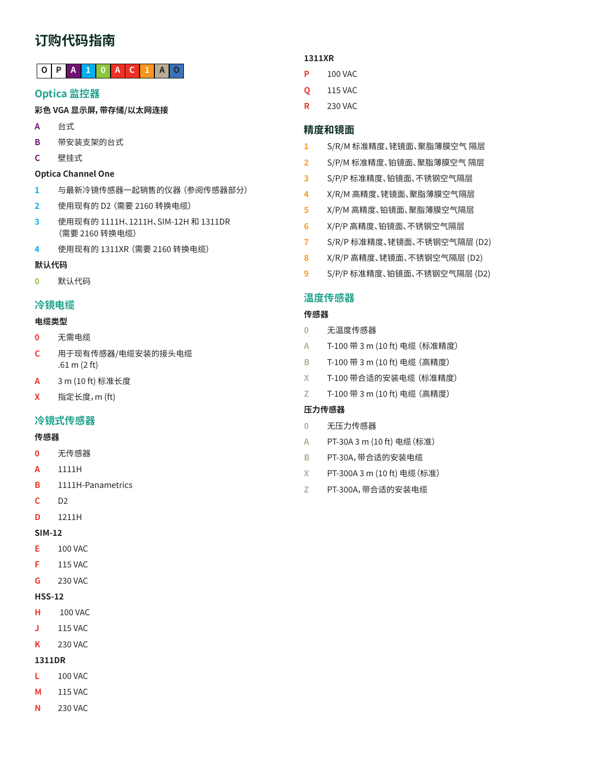# **订购代码指南**

## **O P A 1 0 A C 1 A O**

## **Optica 监控器**

## **彩色 VGA 显示屏,带存储/以太网连接**

- **A** 台式
- **B** 带安装支架的台式
- **C** 壁挂式

## **Optica Channel One**

- **1** 与最新冷镜传感器一起销售的仪器 (参阅传感器部分)
- **2** 使用现有的 D2 (需要 2160 转换电缆)
- **3** 使用现有的 1111H、1211H、SIM-12H 和 1311DR (需要 2160 转换电缆)
- **4** 使用现有的 1311XR (需要 2160 转换电缆)

## **默认代码**

**0** 默认代码

## **冷镜电缆**

## **电缆类型**

- **0** 无需电缆
- **C** 用于现有传感器/电缆安装的接头电缆 .61 m (2 ft)
- **A** 3 m (10 ft) 标准长度
- **X** 指定长度,m (ft)

## **冷镜式传感器**

## **传感器**

- **0** 无传感器
- **A** 1111H
- **B** 1111H-Panametrics
- **C** D2
- **D** 1211H

## **SIM-12**

- **E** 100 VAC
- **F** 115 VAC
- **G** 230 VAC

## **HSS-12**

- **H** 100 VAC
- **J** 115 VAC
- **K** 230 VAC

## **1311DR**

- **L** 100 VAC
- **M** 115 VAC
- **N** 230 VAC

## **1311XR**

- **P** 100 VAC
- **Q** 115 VAC
- **R** 230 VAC

## **精度和镜面**

- **1** S/R/M 标准精度、铑镜面、聚脂薄膜空气 隔层
- **2** S/P/M 标准精度、铂镜面、聚脂薄膜空气 隔层
- **3** S/P/P 标准精度、铂镜面、不锈钢空气隔层
- **4** X/R/M 高精度、铑镜面、聚脂薄膜空气隔层
- **5** X/P/M 高精度、铂镜面、聚脂薄膜空气隔层
- **6** X/P/P 高精度、铂镜面、不锈钢空气隔层
- **7** S/R/P 标准精度、铑镜面、不锈钢空气隔层 (D2)
- **8** X/R/P 高精度、铑镜面、不锈钢空气隔层 (D2)
- **9** S/P/P 标准精度、铂镜面、不锈钢空气隔层 (D2)

## **温度传感器**

## **传感器**

- **0** 无温度传感器
- **A** T-100 带 3 m (10 ft) 电缆 (标准精度)
- **B** T-100 带 3 m (10 ft) 电缆 (高精度)
- **X** T-100 带合适的安装电缆 (标准精度)
- **Z** T-100 带 3 m (10 ft) 电缆 (高精度)

## **压力传感器**

- **0** 无压力传感器
- **A** PT-30A 3 m (10 ft) 电缆(标准)
- **B** PT-30A,带合适的安装电缆
- **X** PT-300A 3 m (10 ft) 电缆(标准)
- **Z** PT-300A,带合适的安装电缆